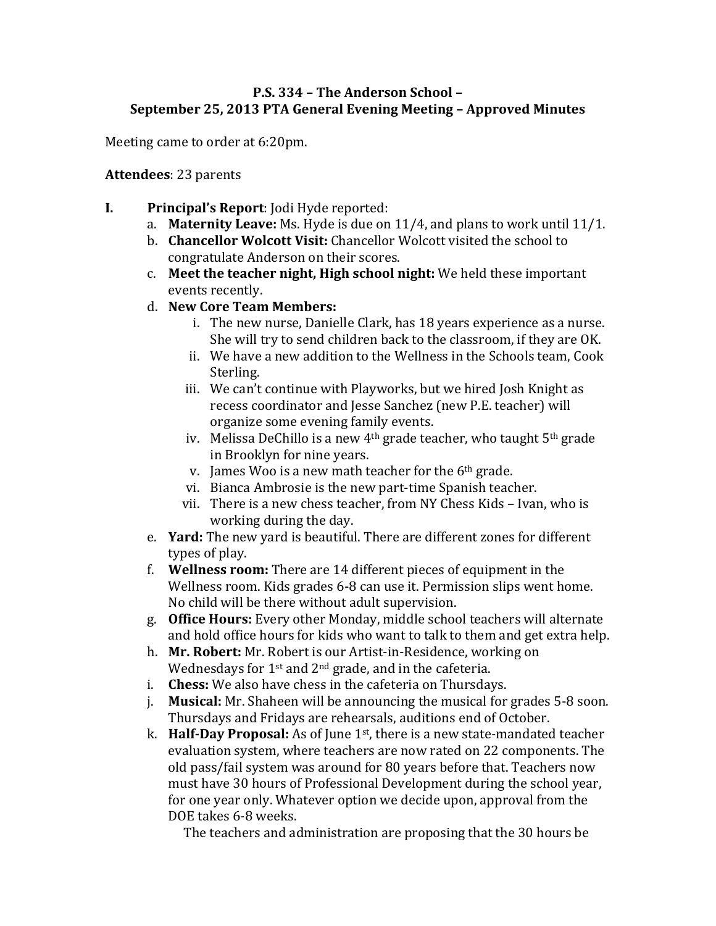# **P.S. 334 - The Anderson School -September 25, 2013 PTA General Evening Meeting – Approved Minutes**

Meeting came to order at 6:20pm.

#### **Attendees**: 23 parents

- **I. Principal's Report:** Jodi Hyde reported:
	- a. **Maternity Leave:** Ms. Hyde is due on 11/4, and plans to work until 11/1.
	- b. **Chancellor Wolcott Visit:** Chancellor Wolcott visited the school to congratulate Anderson on their scores.
	- c. Meet the teacher night, High school night: We held these important events recently.
	- d. **New Core Team Members:**
		- i. The new nurse, Danielle Clark, has 18 years experience as a nurse. She will try to send children back to the classroom, if they are OK.
		- ii. We have a new addition to the Wellness in the Schools team, Cook Sterling.
		- iii. We can't continue with Playworks, but we hired Josh Knight as recess coordinator and Jesse Sanchez (new P.E. teacher) will organize some evening family events.
		- iv. Melissa DeChillo is a new  $4<sup>th</sup>$  grade teacher, who taught  $5<sup>th</sup>$  grade in Brooklyn for nine years.
		- v. James Woo is a new math teacher for the  $6<sup>th</sup>$  grade.
		- vi. Bianca Ambrosie is the new part-time Spanish teacher.
		- vii. There is a new chess teacher, from NY Chess Kids Ivan, who is working during the day.
	- e. **Yard:** The new yard is beautiful. There are different zones for different types of play.
	- f. **Wellness room:** There are 14 different pieces of equipment in the Wellness room. Kids grades 6-8 can use it. Permission slips went home. No child will be there without adult supervision.
	- g. **Office Hours:** Every other Monday, middle school teachers will alternate and hold office hours for kids who want to talk to them and get extra help.
	- h. **Mr. Robert:** Mr. Robert is our Artist-in-Residence, working on Wednesdays for  $1^{st}$  and  $2^{nd}$  grade, and in the cafeteria.
	- i. **Chess:** We also have chess in the cafeteria on Thursdays.
	- j. **Musical:** Mr. Shaheen will be announcing the musical for grades 5-8 soon. Thursdays and Fridays are rehearsals, auditions end of October.
	- k. **Half-Day Proposal:** As of June 1<sup>st</sup>, there is a new state-mandated teacher evaluation system, where teachers are now rated on 22 components. The old pass/fail system was around for 80 years before that. Teachers now must have 30 hours of Professional Development during the school year, for one year only. Whatever option we decide upon, approval from the DOE takes 6-8 weeks.

The teachers and administration are proposing that the 30 hours be.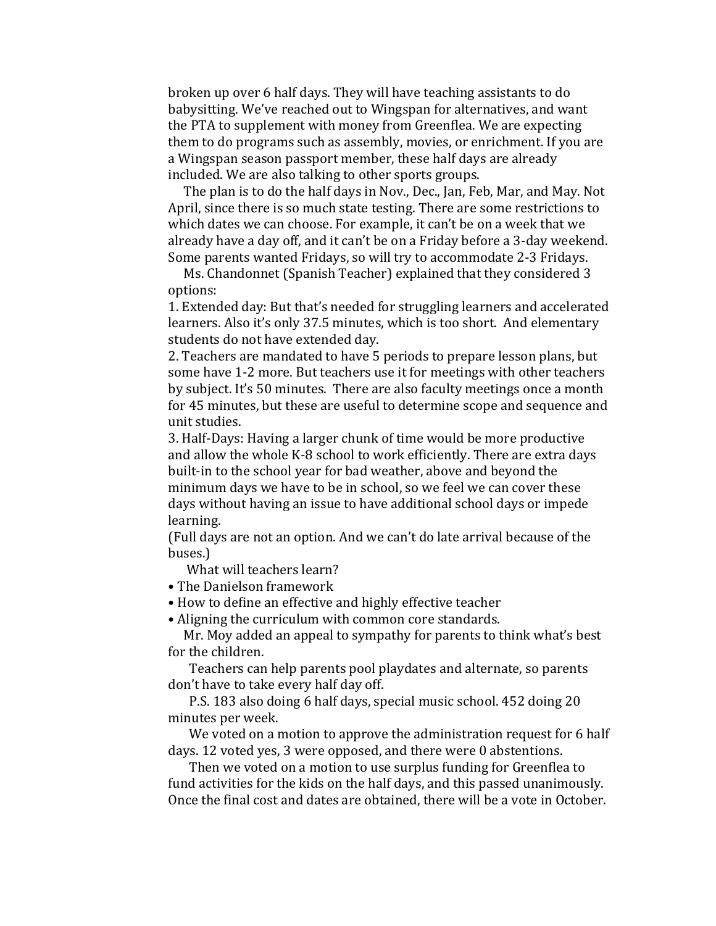broken up over 6 half days. They will have teaching assistants to do babysitting. We've reached out to Wingspan for alternatives, and want the PTA to supplement with money from Greenflea. We are expecting them to do programs such as assembly, movies, or enrichment. If you are a Wingspan season passport member, these half days are already included. We are also talking to other sports groups.

The plan is to do the half days in Nov., Dec., Jan, Feb, Mar, and May. Not April, since there is so much state testing. There are some restrictions to which dates we can choose. For example, it can't be on a week that we already have a day off, and it can't be on a Friday before a 3-day weekend. Some parents wanted Fridays, so will try to accommodate 2-3 Fridays.

Ms. Chandonnet (Spanish Teacher) explained that they considered 3 options:

1. Extended day: But that's needed for struggling learners and accelerated learners. Also it's only 37.5 minutes, which is too short. And elementary students do not have extended day.

2. Teachers are mandated to have 5 periods to prepare lesson plans, but some have 1-2 more. But teachers use it for meetings with other teachers by subject. It's 50 minutes. There are also faculty meetings once a month for 45 minutes, but these are useful to determine scope and sequence and unit studies.

3. Half-Days: Having a larger chunk of time would be more productive and allow the whole K-8 school to work efficiently. There are extra days built-in to the school year for bad weather, above and beyond the minimum days we have to be in school, so we feel we can cover these days without having an issue to have additional school days or impede learning.

(Full days are not an option. And we can't do late arrival because of the buses.)

What will teachers learn?

- The Danielson framework
- How to define an effective and highly effective teacher
- Aligning the curriculum with common core standards.

Mr. Moy added an appeal to sympathy for parents to think what's best for the children.

Teachers can help parents pool playdates and alternate, so parents don't have to take every half day off.

P.S. 183 also doing 6 half days, special music school. 452 doing 20 minutes per week.

We voted on a motion to approve the administration request for 6 half days. 12 voted yes, 3 were opposed, and there were 0 abstentions.

Then we voted on a motion to use surplus funding for Greenflea to fund activities for the kids on the half days, and this passed unanimously. Once the final cost and dates are obtained, there will be a vote in October.